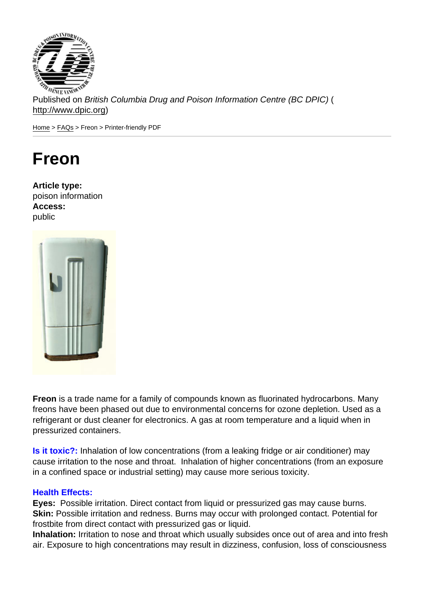Published on British Columbia Drug and Poison Information Centre (BC DPIC) ( http://www.dpic.org)

Home > FAQs > Freon > Printer-friendly PDF

# [Fr](http://www.dpic.org/)[eon](http://www.dpic.org/faq)

Article type: poison information Access: public

Freon is a trade name for a family of compounds known as fluorinated hydrocarbons. Many freons have been phased out due to environmental concerns for ozone depletion. Used as a refrigerant or dust cleaner for electronics. A gas at room temperature and a liquid when in pressurized containers.

Is it toxic?: Inhalation of low concentrations (from a leaking fridge or air conditioner) may cause irritation to the nose and throat. Inhalation of higher concentrations (from an exposure in a confined space or industrial setting) may cause more serious toxicity.

#### Health Effects:

Eyes: Possible irritation. Direct contact from liquid or pressurized gas may cause burns. Skin: Possible irritation and redness. Burns may occur with prolonged contact. Potential for frostbite from direct contact with pressurized gas or liquid.

Inhalation: Irritation to nose and throat which usually subsides once out of area and into fresh air. Exposure to high concentrations may result in dizziness, confusion, loss of consciousness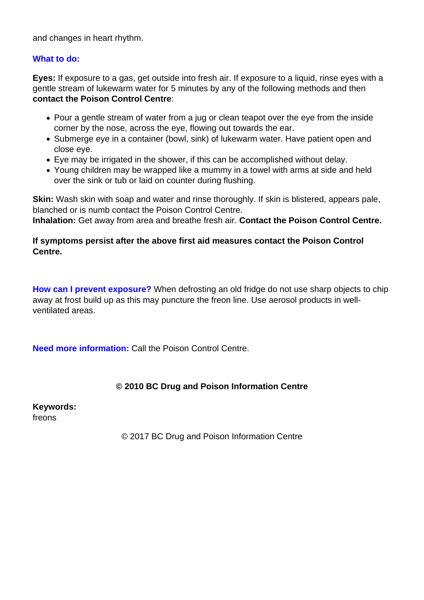and changes in heart rhythm.

#### **What to do:**

**Eyes:** If exposure to a gas, get outside into fresh air. If exposure to a liquid, rinse eyes with a gentle stream of lukewarm water for 5 minutes by any of the following methods and then **contact the Poison Control Centre**:

- Pour a gentle stream of water from a jug or clean teapot over the eye from the inside corner by the nose, across the eye, flowing out towards the ear.
- Submerge eye in a container (bowl, sink) of lukewarm water. Have patient open and close eye.
- Eye may be irrigated in the shower, if this can be accomplished without delay.
- Young children may be wrapped like a mummy in a towel with arms at side and held over the sink or tub or laid on counter during flushing.

**Skin:** Wash skin with soap and water and rinse thoroughly. If skin is blistered, appears pale, blanched or is numb contact the Poison Control Centre.

**Inhalation:** Get away from area and breathe fresh air. **Contact the Poison Control Centre.**

### **If symptoms persist after the above first aid measures contact the Poison Control Centre.**

**How can I prevent exposure?** When defrosting an old fridge do not use sharp objects to chip away at frost build up as this may puncture the freon line. Use aerosol products in wellventilated areas.

**Need more information:** Call the Poison Control Centre.

## **© 2010 BC Drug and Poison Information Centre**

**Keywords:**  freons

© 2017 BC Drug and Poison Information Centre